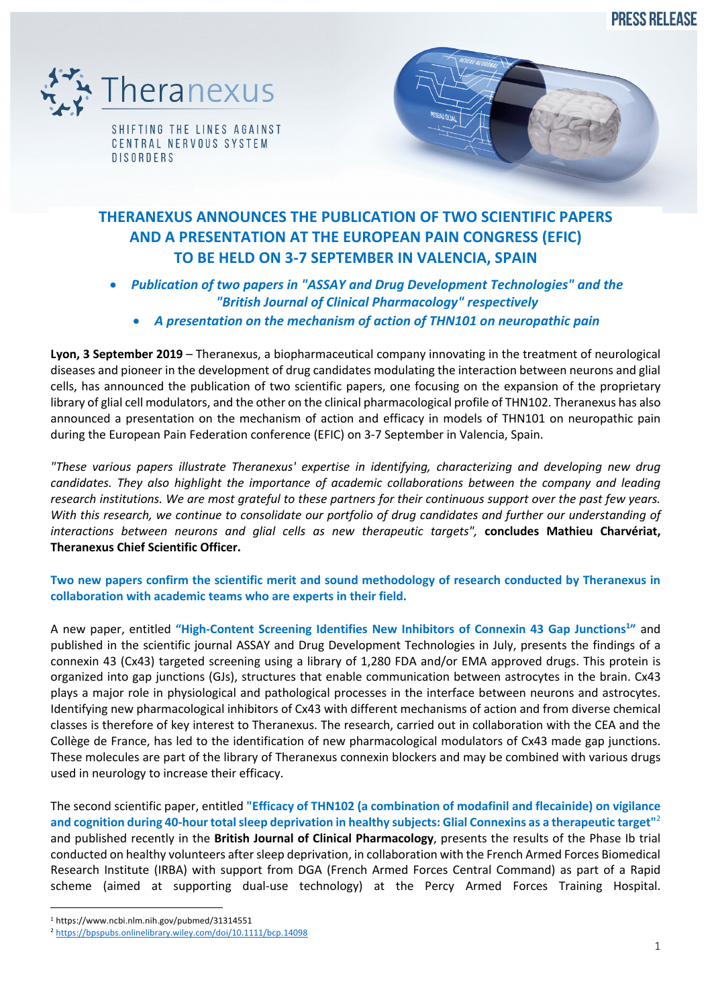**PRESS RELEASE** 



SHIFTING THE LINES AGAINST CENTRAL NERVOUS SYSTEM **DISORDERS** 



# **THERANEXUS ANNOUNCES THE PUBLICATION OF TWO SCIENTIFIC PAPERS AND A PRESENTATION AT THE EUROPEAN PAIN CONGRESS (EFIC) TO BE HELD ON 3-7 SEPTEMBER IN VALENCIA, SPAIN**

## • *Publication of two papers in "ASSAY and Drug Development Technologies" and the "British Journal of Clinical Pharmacology" respectively* • *A presentation on the mechanism of action of THN101 on neuropathic pain*

**Lyon, 3 September 2019** – Theranexus, a biopharmaceutical company innovating in the treatment of neurological diseases and pioneer in the development of drug candidates modulating the interaction between neurons and glial cells, has announced the publication of two scientific papers, one focusing on the expansion of the proprietary library of glial cell modulators, and the other on the clinical pharmacological profile of THN102. Theranexus has also announced a presentation on the mechanism of action and efficacy in models of THN101 on neuropathic pain during the European Pain Federation conference (EFIC) on 3-7 September in Valencia, Spain.

*"These various papers illustrate Theranexus' expertise in identifying, characterizing and developing new drug candidates. They also highlight the importance of academic collaborations between the company and leading research institutions. We are most grateful to these partners for their continuous support over the past few years. With this research, we continue to consolidate our portfolio of drug candidates and further our understanding of interactions between neurons and glial cells as new therapeutic targets",* **concludes Mathieu Charvériat, Theranexus Chief Scientific Officer.**

### **Two new papers confirm the scientific merit and sound methodology of research conducted by Theranexus in collaboration with academic teams who are experts in their field.**

A new paper, entitled "High-Content Screening Identifies New Inhibitors of Connexin 43 Gap Junctions<sup>1</sup>" and published in the scientific journal ASSAY and Drug Development Technologies in July, presents the findings of a connexin 43 (Cx43) targeted screening using a library of 1,280 FDA and/or EMA approved drugs. This protein is organized into gap junctions (GJs), structures that enable communication between astrocytes in the brain. Cx43 plays a major role in physiological and pathological processes in the interface between neurons and astrocytes. Identifying new pharmacological inhibitors of Cx43 with different mechanisms of action and from diverse chemical classes is therefore of key interest to Theranexus. The research, carried out in collaboration with the CEA and the Collège de France, has led to the identification of new pharmacological modulators of Cx43 made gap junctions. These molecules are part of the library of Theranexus connexin blockers and may be combined with various drugs used in neurology to increase their efficacy.

The second scientific paper, entitled **"Efficacy of THN102 (a combination of modafinil and flecainide) on vigilance and cognition during 40-hour total sleep deprivation in healthy subjects: Glial Connexins as a therapeutic target"**<sup>2</sup> and published recently in the **British Journal of Clinical Pharmacology**, presents the results of the Phase Ib trial conducted on healthy volunteers after sleep deprivation, in collaboration with the French Armed Forces Biomedical Research Institute (IRBA) with support from DGA (French Armed Forces Central Command) as part of a Rapid scheme (aimed at supporting dual-use technology) at the Percy Armed Forces Training Hospital.

<sup>1</sup> https://www.ncbi.nlm.nih.gov/pubmed/31314551

<sup>2</sup> https://bpspubs.onlinelibrary.wiley.com/doi/10.1111/bcp.14098